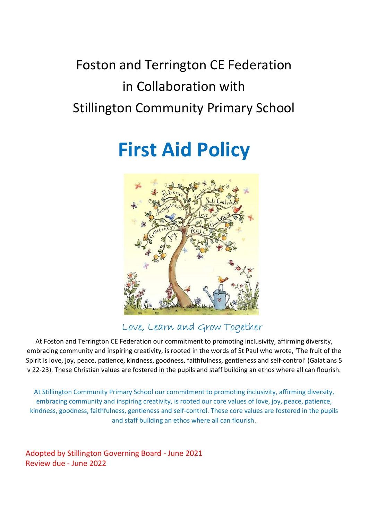## Foston and Terrington CE Federation in Collaboration with Stillington Community Primary School

# First Aid Policy



### Love, Learn and Grow Together

At Foston and Terrington CE Federation our commitment to promoting inclusivity, affirming diversity, embracing community and inspiring creativity, is rooted in the words of St Paul who wrote, 'The fruit of the Spirit is love, joy, peace, patience, kindness, goodness, faithfulness, gentleness and self-control' (Galatians 5 v 22-23). These Christian values are fostered in the pupils and staff building an ethos where all can flourish.

At Stillington Community Primary School our commitment to promoting inclusivity, affirming diversity, embracing community and inspiring creativity, is rooted our core values of love, joy, peace, patience, kindness, goodness, faithfulness, gentleness and self-control. These core values are fostered in the pupils and staff building an ethos where all can flourish.

Adopted by Stillington Governing Board - June 2021 Review due - June 2022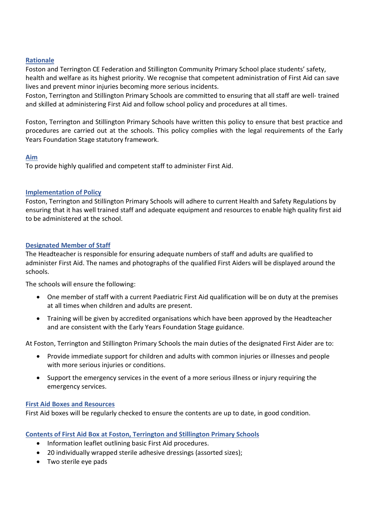#### Rationale

Foston and Terrington CE Federation and Stillington Community Primary School place students' safety, health and welfare as its highest priority. We recognise that competent administration of First Aid can save lives and prevent minor injuries becoming more serious incidents.

Foston, Terrington and Stillington Primary Schools are committed to ensuring that all staff are well- trained and skilled at administering First Aid and follow school policy and procedures at all times.

Foston, Terrington and Stillington Primary Schools have written this policy to ensure that best practice and procedures are carried out at the schools. This policy complies with the legal requirements of the Early Years Foundation Stage statutory framework.

#### Aim

To provide highly qualified and competent staff to administer First Aid.

#### Implementation of Policy

Foston, Terrington and Stillington Primary Schools will adhere to current Health and Safety Regulations by ensuring that it has well trained staff and adequate equipment and resources to enable high quality first aid to be administered at the school.

#### Designated Member of Staff

The Headteacher is responsible for ensuring adequate numbers of staff and adults are qualified to administer First Aid. The names and photographs of the qualified First Aiders will be displayed around the schools.

The schools will ensure the following:

- One member of staff with a current Paediatric First Aid qualification will be on duty at the premises at all times when children and adults are present.
- Training will be given by accredited organisations which have been approved by the Headteacher and are consistent with the Early Years Foundation Stage guidance.

At Foston, Terrington and Stillington Primary Schools the main duties of the designated First Aider are to:

- Provide immediate support for children and adults with common injuries or illnesses and people with more serious injuries or conditions.
- Support the emergency services in the event of a more serious illness or injury requiring the emergency services.

#### First Aid Boxes and Resources

First Aid boxes will be regularly checked to ensure the contents are up to date, in good condition.

#### Contents of First Aid Box at Foston, Terrington and Stillington Primary Schools

- Information leaflet outlining basic First Aid procedures.
- 20 individually wrapped sterile adhesive dressings (assorted sizes);
- Two sterile eve pads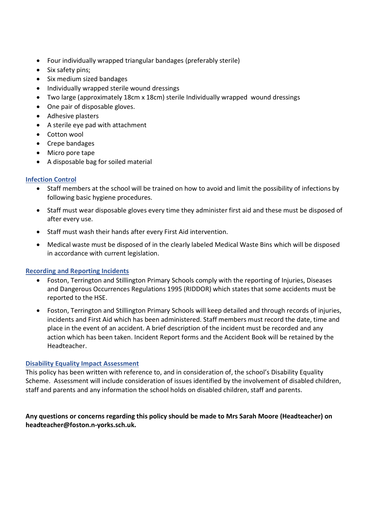- Four individually wrapped triangular bandages (preferably sterile)
- Six safety pins;
- Six medium sized bandages
- Individually wrapped sterile wound dressings
- Two large (approximately 18cm x 18cm) sterile Individually wrapped wound dressings
- One pair of disposable gloves.
- Adhesive plasters
- A sterile eye pad with attachment
- Cotton wool
- Crepe bandages
- Micro pore tape
- A disposable bag for soiled material

#### Infection Control

- Staff members at the school will be trained on how to avoid and limit the possibility of infections by following basic hygiene procedures.
- Staff must wear disposable gloves every time they administer first aid and these must be disposed of after every use.
- Staff must wash their hands after every First Aid intervention.
- Medical waste must be disposed of in the clearly labeled Medical Waste Bins which will be disposed in accordance with current legislation.

#### Recording and Reporting Incidents

- Foston, Terrington and Stillington Primary Schools comply with the reporting of Injuries, Diseases and Dangerous Occurrences Regulations 1995 (RIDDOR) which states that some accidents must be reported to the HSE.
- Foston, Terrington and Stillington Primary Schools will keep detailed and through records of injuries, incidents and First Aid which has been administered. Staff members must record the date, time and place in the event of an accident. A brief description of the incident must be recorded and any action which has been taken. Incident Report forms and the Accident Book will be retained by the Headteacher.

#### Disability Equality Impact Assessment

This policy has been written with reference to, and in consideration of, the school's Disability Equality Scheme. Assessment will include consideration of issues identified by the involvement of disabled children, staff and parents and any information the school holds on disabled children, staff and parents.

#### Any questions or concerns regarding this policy should be made to Mrs Sarah Moore (Headteacher) on headteacher@foston.n-yorks.sch.uk.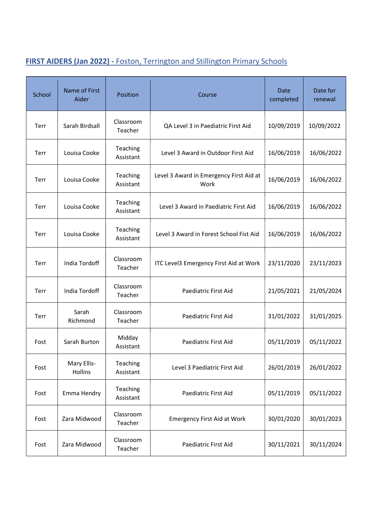## FIRST AIDERS (Jan 2022) - Foston, Terrington and Stillington Primary Schools

| School | Name of First<br>Aider | Position              | Course                                          | Date<br>completed | Date for<br>renewal |
|--------|------------------------|-----------------------|-------------------------------------------------|-------------------|---------------------|
| Terr   | Sarah Birdsall         | Classroom<br>Teacher  | QA Level 3 in Paediatric First Aid              | 10/09/2019        | 10/09/2022          |
| Terr   | Louisa Cooke           | Teaching<br>Assistant | Level 3 Award in Outdoor First Aid              | 16/06/2019        | 16/06/2022          |
| Terr   | Louisa Cooke           | Teaching<br>Assistant | Level 3 Award in Emergency First Aid at<br>Work | 16/06/2019        | 16/06/2022          |
| Terr   | Louisa Cooke           | Teaching<br>Assistant | Level 3 Award in Paediatric First Aid           | 16/06/2019        | 16/06/2022          |
| Terr   | Louisa Cooke           | Teaching<br>Assistant | Level 3 Award in Forest School Fist Aid         | 16/06/2019        | 16/06/2022          |
| Terr   | India Tordoff          | Classroom<br>Teacher  | ITC Level3 Emergency First Aid at Work          | 23/11/2020        | 23/11/2023          |
| Terr   | India Tordoff          | Classroom<br>Teacher  | Paediatric First Aid                            | 21/05/2021        | 21/05/2024          |
| Terr   | Sarah<br>Richmond      | Classroom<br>Teacher  | Paediatric First Aid                            | 31/01/2022        | 31/01/2025          |
| Fost   | Sarah Burton           | Midday<br>Assistant   | Paediatric First Aid                            | 05/11/2019        | 05/11/2022          |
| Fost   | Mary Ellis-<br>Hollins | Teaching<br>Assistant | Level 3 Paediatric First Aid                    | 26/01/2019        | 26/01/2022          |
| Fost   | Emma Hendry            | Teaching<br>Assistant | Paediatric First Aid                            | 05/11/2019        | 05/11/2022          |
| Fost   | Zara Midwood           | Classroom<br>Teacher  | <b>Emergency First Aid at Work</b>              | 30/01/2020        | 30/01/2023          |
| Fost   | Zara Midwood           | Classroom<br>Teacher  | Paediatric First Aid                            | 30/11/2021        | 30/11/2024          |